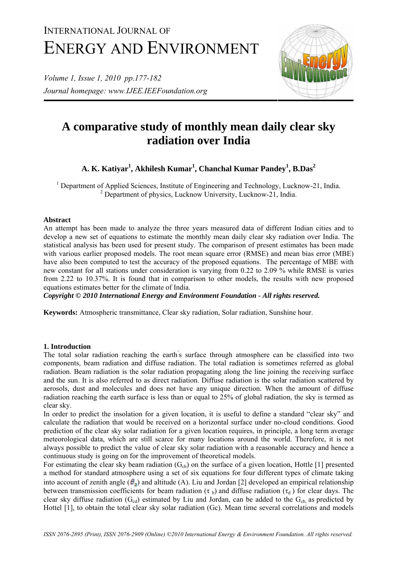# INTERNATIONAL JOURNAL OF ENERGY AND ENVIRONMENT

*Volume 1, Issue 1, 2010 pp.177-182 Journal homepage: www.IJEE.IEEFoundation.org* 



## **A comparative study of monthly mean daily clear sky radiation over India**

### **A. K. Katiyar<sup>1</sup> , Akhilesh Kumar<sup>1</sup> , Chanchal Kumar Pandey1 , B.Das<sup>2</sup>**

<sup>1</sup> Department of Applied Sciences, Institute of Engineering and Technology, Lucknow-21, India. <sup>2</sup> Department of physics, Lucknow University, Lucknow-21, India.

#### **Abstract**

An attempt has been made to analyze the three years measured data of different Indian cities and to develop a new set of equations to estimate the monthly mean daily clear sky radiation over India. The statistical analysis has been used for present study. The comparison of present estimates has been made with various earlier proposed models. The root mean square error (RMSE) and mean bias error (MBE) have also been computed to test the accuracy of the proposed equations. The percentage of MBE with new constant for all stations under consideration is varying from 0.22 to 2.09 % while RMSE is varies from 2.22 to 10.37%. It is found that in comparison to other models, the results with new proposed equations estimates better for the climate of India.

*Copyright © 2010 International Energy and Environment Foundation - All rights reserved.*

**Keywords:** Atmospheric transmittance, Clear sky radiation, Solar radiation, Sunshine hour.

#### **1. Introduction**

The total solar radiation reaching the earth's surface through atmosphere can be classified into two components, beam radiation and diffuse radiation. The total radiation is sometimes referred as global radiation. Beam radiation is the solar radiation propagating along the line joining the receiving surface and the sun. It is also referred to as direct radiation. Diffuse radiation is the solar radiation scattered by aerosols, dust and molecules and does not have any unique direction. When the amount of diffuse radiation reaching the earth surface is less than or equal to 25% of global radiation, the sky is termed as clear sky.

In order to predict the insolation for a given location, it is useful to define a standard "clear sky" and calculate the radiation that would be received on a horizontal surface under no-cloud conditions. Good prediction of the clear sky solar radiation for a given location requires, in principle, a long term average meteorological data, which are still scarce for many locations around the world. Therefore, it is not always possible to predict the value of clear sky solar radiation with a reasonable accuracy and hence a continuous study is going on for the improvement of theoretical models.

For estimating the clear sky beam radiation  $(G_{cb})$  on the surface of a given location, Hottle [1] presented a method for standard atmosphere using a set of six equations for four different types of climate taking into account of zenith angle  $(\theta_z)$  and altitude (A). Liu and Jordan [2] developed an empirical relationship between transmission coefficients for beam radiation ( $\tau_b$ ) and diffuse radiation ( $\tau_d$ ) for clear days. The clear sky diffuse radiation  $(G_{cd})$  estimated by Liu and Jordan, can be added to the  $G_{cb}$  as predicted by Hottel [1], to obtain the total clear sky solar radiation (Gc). Mean time several correlations and models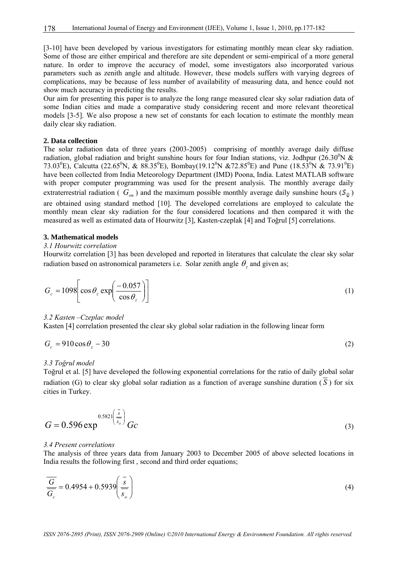[3-10] have been developed by various investigators for estimating monthly mean clear sky radiation. Some of those are either empirical and therefore are site dependent or semi-empirical of a more general nature. In order to improve the accuracy of model, some investigators also incorporated various parameters such as zenith angle and altitude. However, these models suffers with varying degrees of complications, may be because of less number of availability of measuring data, and hence could not show much accuracy in predicting the results.

Our aim for presenting this paper is to analyze the long range measured clear sky solar radiation data of some Indian cities and made a comparative study considering recent and more relevant theoretical models [3-5]. We also propose a new set of constants for each location to estimate the monthly mean daily clear sky radiation.

#### **2. Data collection**

The solar radiation data of three years (2003-2005) comprising of monthly average daily diffuse radiation, global radiation and bright sunshine hours for four Indian stations, viz. Jodhpur (26.30<sup>0</sup>N & 73.03<sup>0</sup>E), Calcutta (22.65<sup>0</sup>N, & 88.35<sup>0</sup>E), Bombay(19.12<sup>0</sup>N &72.85<sup>0</sup>E) and Pune (18.53<sup>0</sup>N & 73.91<sup>0</sup>E) have been collected from India Meteorology Department (IMD) Poona, India. Latest MATLAB software with proper computer programming was used for the present analysis. The monthly average daily extraterrestrial radiation (  $G_{\alpha n}$ ) and the maximum possible monthly average daily sunshine hours ( $\mathfrak{S}_{\mathfrak{g}}$ ) are obtained using standard method [10]. The developed correlations are employed to calculate the monthly mean clear sky radiation for the four considered locations and then compared it with the measured as well as estimated data of Hourwitz [3], Kasten-czeplak [4] and Toğrul [5] correlations.

#### **3. Mathematical models**

#### *3.1 Hourwitz correlation*

Hourwitz correlation [3] has been developed and reported in literatures that calculate the clear sky solar radiation based on astronomical parameters i.e. Solar zenith angle  $\theta_z$  and given as;

$$
G_c = 1098 \left[ \cos \theta_z \exp \left( \frac{-0.057}{\cos \theta_z} \right) \right]
$$
 (1)

#### *3.2 Kasten –Czeplac model*

Kasten [4] correlation presented the clear sky global solar radiation in the following linear form

$$
G_c = 910 \cos \theta_z - 30 \tag{2}
$$

#### *3.3 Toğrul model*

Toğrul et al. [5] have developed the following exponential correlations for the ratio of daily global solar radiation (G) to clear sky global solar radiation as a function of average sunshine duration ( *S* ) for six cities in Turkey.

$$
G = 0.596 \exp^{0.5821 \left(\frac{\bar{s}}{s_o}\right)} Gc
$$
 (3)

#### *3.4 Present correlations*

The analysis of three years data from January 2003 to December 2005 of above selected locations in India results the following first , second and third order equations;

$$
\frac{\overline{G}}{\overline{G}_c} = 0.4954 + 0.5939 \left( \frac{\overline{s}}{\overline{s}_o} \right)
$$
(4)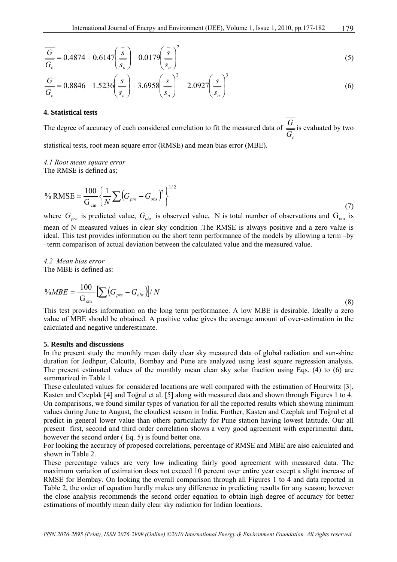$$
\frac{\overline{G}}{\overline{G}_c} = 0.4874 + 0.6147 \left(\frac{\overline{s}}{s_o}\right) - 0.0179 \left(\frac{\overline{s}}{s_o}\right)^2 \tag{5}
$$

$$
\frac{\overline{G}}{\overline{G_c}} = 0.8846 - 1.5236 \left(\frac{\overline{s}}{s_o}\right) + 3.6958 \left(\frac{\overline{s}}{s_o}\right)^2 - 2.0927 \left(\frac{\overline{s}}{s_o}\right)^3
$$
\n(6)

#### **4. Statistical tests**

The degree of accuracy of each considered correlation to fit the measured data of  $G_c$  $\frac{G}{\sqrt{G}}$  is evaluated by two

statistical tests, root mean square error (RMSE) and mean bias error (MBE).

#### *4.1 Root mean square error*  The RMSE is defined as;

$$
\% \text{RMSE} = \frac{100}{G_{\text{cm}}} \left\{ \frac{1}{N} \sum \left( G_{\text{pre}} - G_{\text{obs}} \right)^2 \right\}^{1/2} \tag{7}
$$

where  $G_{pre}$  is predicted value,  $G_{obs}$  is observed value, N is total number of observations and  $G_{cm}$  is mean of N measured values in clear sky condition .The RMSE is always positive and a zero value is ideal. This test provides information on the short term performance of the models by allowing a term –by –term comparison of actual deviation between the calculated value and the measured value.

*4.2 Mean bias error*  The MBE is defined as:

$$
\%MBE = \frac{100}{G_{\rm cm}} \left[ \sum \left( G_{\rm pre} - G_{\rm obs} \right) \right] / N \tag{8}
$$

This test provides information on the long term performance. A low MBE is desirable. Ideally a zero value of MBE should be obtained. A positive value gives the average amount of over-estimation in the calculated and negative underestimate.

#### **5. Results and discussions**

In the present study the monthly mean daily clear sky measured data of global radiation and sun-shine duration for Jodhpur, Calcutta, Bombay and Pune are analyzed using least square regression analysis. The present estimated values of the monthly mean clear sky solar fraction using Eqs. (4) to (6) are summarized in Table 1.

These calculated values for considered locations are well compared with the estimation of Hourwitz [3], Kasten and Czeplak [4] and Toğrul et al. [5] along with measured data and shown through Figures 1 to 4. On comparisons, we found similar types of variation for all the reported results which showing minimum values during June to August, the cloudiest season in India. Further, Kasten and Czeplak and Toğrul et al predict in general lower value than others particularly for Pune station having lowest latitude. Our all present first, second and third order correlation shows a very good agreement with experimental data, however the second order ( Eq. 5) is found better one.

For looking the accuracy of proposed correlations, percentage of RMSE and MBE are also calculated and shown in Table 2.

These percentage values are very low indicating fairly good agreement with measured data. The maximum variation of estimation does not exceed 10 percent over entire year except a slight increase of RMSE for Bombay. On looking the overall comparison through all Figures 1 to 4 and data reported in Table 2, the order of equation hardly makes any difference in predicting results for any season; however the close analysis recommends the second order equation to obtain high degree of accuracy for better estimations of monthly mean daily clear sky radiation for Indian locations.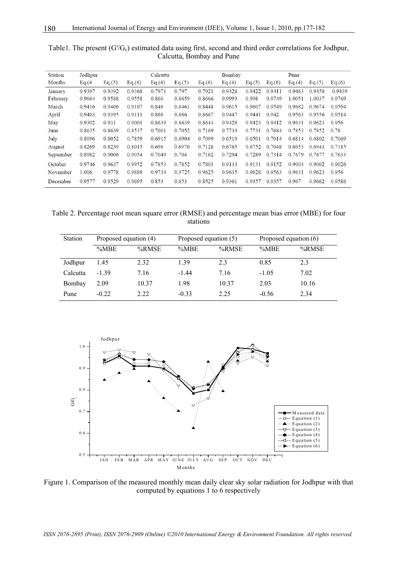| Station   | Jodhpur |        |        | Calcutta |        |        | Bombay |        |        | Pune   |        |        |
|-----------|---------|--------|--------|----------|--------|--------|--------|--------|--------|--------|--------|--------|
| Months    | Eq.(4)  | Eq.(5) | Eq.(6) | Eq.(4)   | Eq.(5) | Eq.(6) | Eq.(4) | Eq.(5) | Eq.(6) | Eq.(4) | Eq.(5) | Eq.(6) |
| January   | 0.9397  | 0.9392 | 0.9368 | 0.7971   | 0.797  | 0.7921 | 0.9428 | 0.9422 | 0.9411 | 0.9463 | 0.9458 | 0.9439 |
| February  | 0.9664  | 0.9588 | 0.9558 | 0.866    | 0.8659 | 0.8666 | 0.9993 | 0.998  | 0.9749 | 1.0051 | 1.0037 | 0.9769 |
| March     | 0.9416  | 0.9406 | 0.9107 | 0.846    | 0.8461 | 0.8448 | 0.9615 | 0.9607 | 0.9549 | 0.9682 | 0.9674 | 0.9594 |
| April     | 0.9403  | 0.9395 | 0.9111 | 0.866    | 0.866  | 0.8667 | 0.9447 | 0.9441 | 0.942  | 0.9563 | 0.9556 | 0.9514 |
| May       | 0.9302  | 0.931  | 0.9001 | 0.8639   | 0.8639 | 0.8644 | 0.9428 | 0.9423 | 0.9412 | 0.9631 | 0.9623 | 0.956  |
| June      | 0.8635  | 0.8639 | 0.8537 | 0.7061   | 0.7052 | 0.7169 | 0.7733 | 0.7731 | 0.7684 | 0.7853 | 0.7852 | 0.78   |
| July      | 0.8096  | 0.8052 | 0.7859 | 0.6915   | 0.6904 | 0.7099 | 0.6519 | 0.6501 | 0.7014 | 0.6814 | 0.6802 | 0.7069 |
| August    | 0.8269  | 0.8239 | 0.8015 | 0.698    | 0.6970 | 0.7128 | 0.6765 | 0.6752 | 0.7048 | 0.6953 | 0.6943 | 0.7115 |
| September | 0.8982  | 0.9006 | 0.9054 | 0.7049   | 0.704  | 0.7162 | 0.7294 | 0.7289 | 0.7314 | 0.7679 | 0.7677 | 0.7633 |
| October   | 0.9746  | 0.9637 | 0.9952 | 0.7853   | 0.7852 | 0.7801 | 0.9133 | 0.9131 | 0.9152 | 0.9004 | 0.9002 | 0.9026 |
| November  | 1.006   | 0.9778 | 0.9889 | 0.9734   | 0.9725 | 0.9625 | 0.9635 | 0.9628 | 0.9563 | 0.9631 | 0.9623 | 0.956  |
| December  | 0.9577  | 0.9529 | 0.9695 | 0.853    | 0.853  | 0.8525 | 0.9361 | 0.9357 | 0.9357 | 0.967  | 0.9662 | 0.9586 |

Table1. The present  $(G/G_c)$  estimated data using first, second and third order correlations for Jodhpur, Calcutta, Bombay and Pune

Table 2. Percentage root mean square error (RMSE) and percentage mean bias error (MBE) for four stations

| <b>Station</b> | Proposed equation (4) |       | Proposed equation (5) |       | Proposed equation (6) |       |  |
|----------------|-----------------------|-------|-----------------------|-------|-----------------------|-------|--|
|                | %MBE                  | %RMSE | %MBE                  | %RMSE | %MBE                  | %RMSE |  |
| Jodhpur        | 1.45                  | 2.32  | 1.39                  | 2.3   | 0.85                  | 2.3   |  |
| Calcutta       | $-1.39$               | 7.16  | $-1.44$               | 7.16  | $-1.05$               | 7.02  |  |
| Bombay         | 2.09                  | 10.37 | 1.98                  | 10.37 | 2.03                  | 10.16 |  |
| Pune           | $-0.22$               | 2.22  | $-0.33$               | 2.25  | $-0.56$               | 2.34  |  |



Figure 1. Comparison of the measured monthly mean daily clear sky solar radiation for Jodhpur with that computed by equations 1 to 6 respectively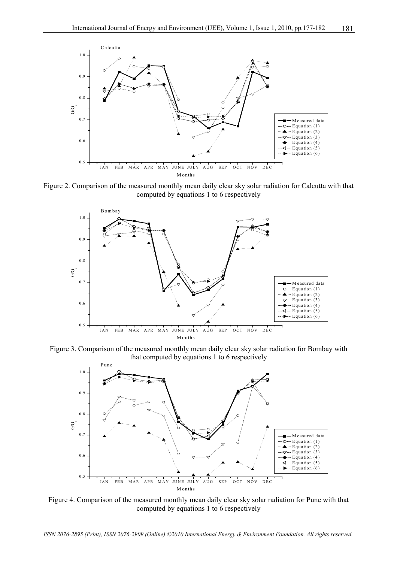

Figure 2. Comparison of the measured monthly mean daily clear sky solar radiation for Calcutta with that computed by equations 1 to 6 respectively



Figure 3. Comparison of the measured monthly mean daily clear sky solar radiation for Bombay with that computed by equations 1 to 6 respectively



Figure 4. Comparison of the measured monthly mean daily clear sky solar radiation for Pune with that computed by equations 1 to 6 respectively

*ISSN 2076-2895 (Print), ISSN 2076-2909 (Online) ©2010 International Energy & Environment Foundation. All rights reserved.*